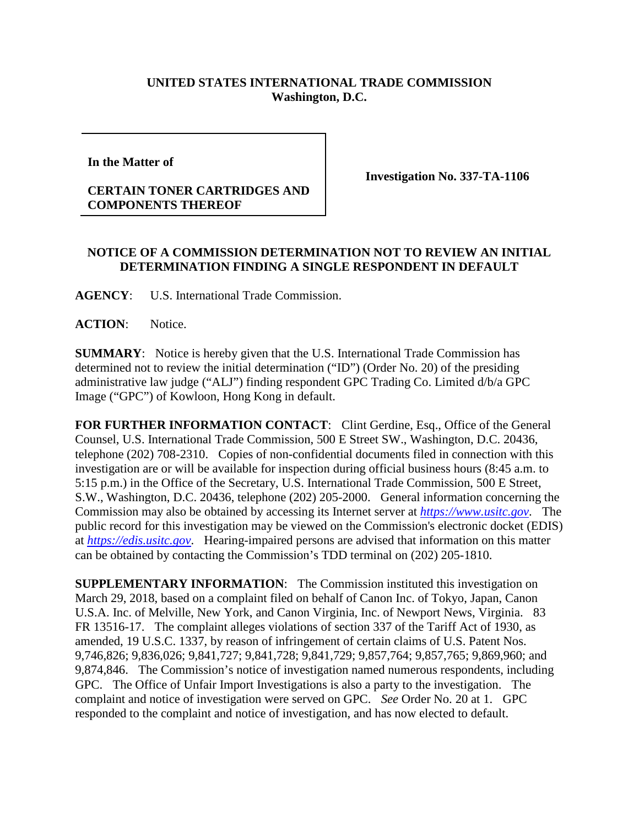## **UNITED STATES INTERNATIONAL TRADE COMMISSION Washington, D.C.**

**In the Matter of** 

## **CERTAIN TONER CARTRIDGES AND COMPONENTS THEREOF**

**Investigation No. 337-TA-1106**

## **NOTICE OF A COMMISSION DETERMINATION NOT TO REVIEW AN INITIAL DETERMINATION FINDING A SINGLE RESPONDENT IN DEFAULT**

**AGENCY**: U.S. International Trade Commission.

ACTION: Notice.

**SUMMARY**: Notice is hereby given that the U.S. International Trade Commission has determined not to review the initial determination ("ID") (Order No. 20) of the presiding administrative law judge ("ALJ") finding respondent GPC Trading Co. Limited d/b/a GPC Image ("GPC") of Kowloon, Hong Kong in default.

FOR FURTHER INFORMATION CONTACT: Clint Gerdine, Esq., Office of the General Counsel, U.S. International Trade Commission, 500 E Street SW., Washington, D.C. 20436, telephone (202) 708-2310. Copies of non-confidential documents filed in connection with this investigation are or will be available for inspection during official business hours (8:45 a.m. to 5:15 p.m.) in the Office of the Secretary, U.S. International Trade Commission, 500 E Street, S.W., Washington, D.C. 20436, telephone (202) 205-2000. General information concerning the Commission may also be obtained by accessing its Internet server at *[https://www.usitc.gov](https://www.usitc.gov/)*. The public record for this investigation may be viewed on the Commission's electronic docket (EDIS) at *[https://edis.usitc.gov](https://edis.usitc.gov/)*. Hearing-impaired persons are advised that information on this matter can be obtained by contacting the Commission's TDD terminal on (202) 205-1810.

**SUPPLEMENTARY INFORMATION:** The Commission instituted this investigation on March 29, 2018, based on a complaint filed on behalf of Canon Inc. of Tokyo, Japan, Canon U.S.A. Inc. of Melville, New York, and Canon Virginia, Inc. of Newport News, Virginia. 83 FR 13516-17. The complaint alleges violations of section 337 of the Tariff Act of 1930, as amended, 19 U.S.C. 1337, by reason of infringement of certain claims of U.S. Patent Nos. 9,746,826; 9,836,026; 9,841,727; 9,841,728; 9,841,729; 9,857,764; 9,857,765; 9,869,960; and 9,874,846. The Commission's notice of investigation named numerous respondents, including GPC. The Office of Unfair Import Investigations is also a party to the investigation. The complaint and notice of investigation were served on GPC. *See* Order No. 20 at 1. GPC responded to the complaint and notice of investigation, and has now elected to default.